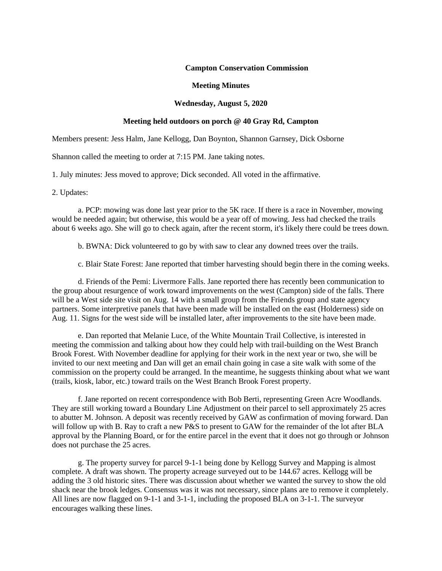# **Campton Conservation Commission**

#### **Meeting Minutes**

# **Wednesday, August 5, 2020**

# **Meeting held outdoors on porch @ 40 Gray Rd, Campton**

Members present: Jess Halm, Jane Kellogg, Dan Boynton, Shannon Garnsey, Dick Osborne

Shannon called the meeting to order at 7:15 PM. Jane taking notes.

1. July minutes: Jess moved to approve; Dick seconded. All voted in the affirmative.

2. Updates:

a. PCP: mowing was done last year prior to the 5K race. If there is a race in November, mowing would be needed again; but otherwise, this would be a year off of mowing. Jess had checked the trails about 6 weeks ago. She will go to check again, after the recent storm, it's likely there could be trees down.

b. BWNA: Dick volunteered to go by with saw to clear any downed trees over the trails.

c. Blair State Forest: Jane reported that timber harvesting should begin there in the coming weeks.

d. Friends of the Pemi: Livermore Falls. Jane reported there has recently been communication to the group about resurgence of work toward improvements on the west (Campton) side of the falls. There will be a West side site visit on Aug. 14 with a small group from the Friends group and state agency partners. Some interpretive panels that have been made will be installed on the east (Holderness) side on Aug. 11. Signs for the west side will be installed later, after improvements to the site have been made.

e. Dan reported that Melanie Luce, of the White Mountain Trail Collective, is interested in meeting the commission and talking about how they could help with trail-building on the West Branch Brook Forest. With November deadline for applying for their work in the next year or two, she will be invited to our next meeting and Dan will get an email chain going in case a site walk with some of the commission on the property could be arranged. In the meantime, he suggests thinking about what we want (trails, kiosk, labor, etc.) toward trails on the West Branch Brook Forest property.

f. Jane reported on recent correspondence with Bob Berti, representing Green Acre Woodlands. They are still working toward a Boundary Line Adjustment on their parcel to sell approximately 25 acres to abutter M. Johnson. A deposit was recently received by GAW as confirmation of moving forward. Dan will follow up with B. Ray to craft a new P&S to present to GAW for the remainder of the lot after BLA approval by the Planning Board, or for the entire parcel in the event that it does not go through or Johnson does not purchase the 25 acres.

g. The property survey for parcel 9-1-1 being done by Kellogg Survey and Mapping is almost complete. A draft was shown. The property acreage surveyed out to be 144.67 acres. Kellogg will be adding the 3 old historic sites. There was discussion about whether we wanted the survey to show the old shack near the brook ledges. Consensus was it was not necessary, since plans are to remove it completely. All lines are now flagged on 9-1-1 and 3-1-1, including the proposed BLA on 3-1-1. The surveyor encourages walking these lines.